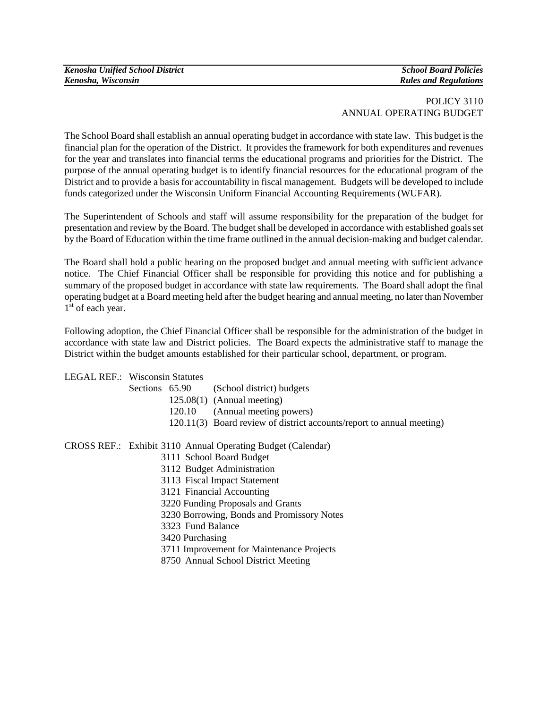| <b>Kenosha Unified School District</b> |
|----------------------------------------|
| Kenosha, Wisconsin                     |

# POLICY 3110 ANNUAL OPERATING BUDGET

The School Board shall establish an annual operating budget in accordance with state law. This budget is the financial plan for the operation of the District. It provides the framework for both expenditures and revenues for the year and translates into financial terms the educational programs and priorities for the District. The purpose of the annual operating budget is to identify financial resources for the educational program of the District and to provide a basis for accountability in fiscal management. Budgets will be developed to include funds categorized under the Wisconsin Uniform Financial Accounting Requirements (WUFAR).

The Superintendent of Schools and staff will assume responsibility for the preparation of the budget for presentation and review by the Board. The budget shall be developed in accordance with established goals set by the Board of Education within the time frame outlined in the annual decision-making and budget calendar.

The Board shall hold a public hearing on the proposed budget and annual meeting with sufficient advance notice. The Chief Financial Officer shall be responsible for providing this notice and for publishing a summary of the proposed budget in accordance with state law requirements. The Board shall adopt the final operating budget at a Board meeting held after the budget hearing and annual meeting, no later than November  $1<sup>st</sup>$  of each year.

Following adoption, the Chief Financial Officer shall be responsible for the administration of the budget in accordance with state law and District policies. The Board expects the administrative staff to manage the District within the budget amounts established for their particular school, department, or program.

LEGAL REF.: Wisconsin Statutes

| Sections 65.90 | (School district) budgets                                             |
|----------------|-----------------------------------------------------------------------|
|                | $125.08(1)$ (Annual meeting)                                          |
|                | 120.10 (Annual meeting powers)                                        |
|                | 120.11(3) Board review of district accounts/report to annual meeting) |
|                |                                                                       |

CROSS REF.: Exhibit 3110 Annual Operating Budget (Calendar)

- 3111 School Board Budget
- 3112 Budget Administration
- 3113 Fiscal Impact Statement
- 3121 Financial Accounting
- 3220 Funding Proposals and Grants
- 3230 Borrowing, Bonds and Promissory Notes
- 3323 Fund Balance
- 3420 Purchasing
- 3711 Improvement for Maintenance Projects
- 8750 Annual School District Meeting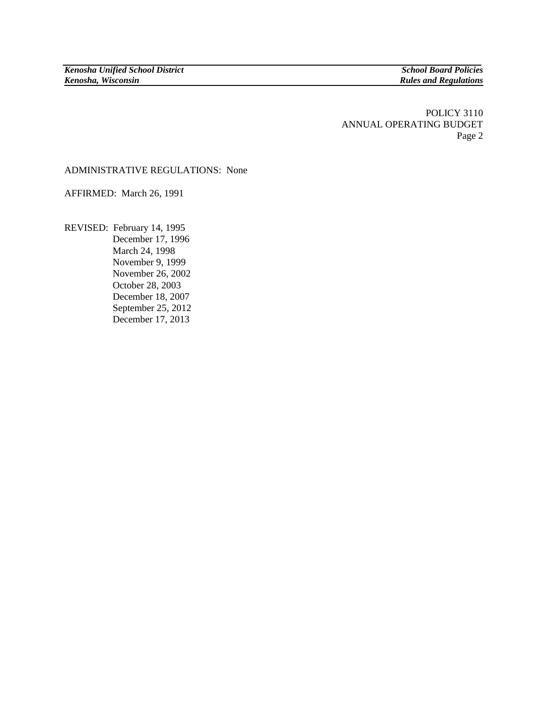POLICY 3110 ANNUAL OPERATING BUDGET Page 2

### ADMINISTRATIVE REGULATIONS: None

AFFIRMED: March 26, 1991

REVISED: February 14, 1995 December 17, 1996 March 24, 1998 November 9, 1999 November 26, 2002 October 28, 2003 December 18, 2007 September 25, 2012 December 17, 2013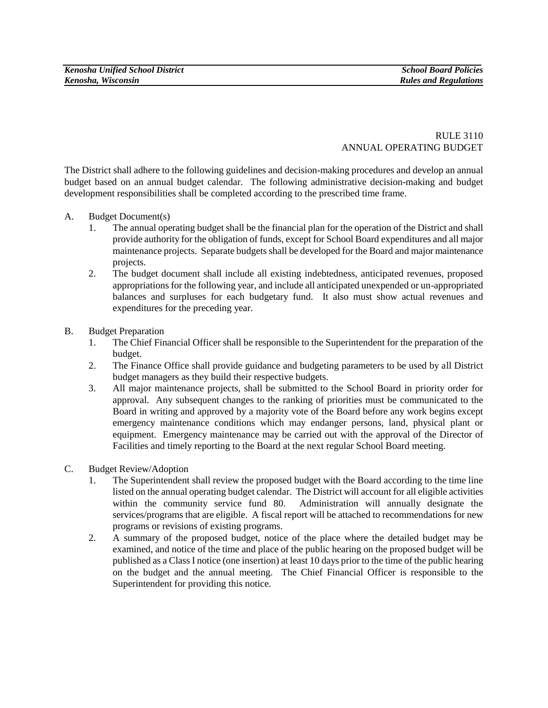### RULE 3110 ANNUAL OPERATING BUDGET

The District shall adhere to the following guidelines and decision-making procedures and develop an annual budget based on an annual budget calendar. The following administrative decision-making and budget development responsibilities shall be completed according to the prescribed time frame.

## A. Budget Document(s)

- 1. The annual operating budget shall be the financial plan for the operation of the District and shall provide authority for the obligation of funds, except for School Board expenditures and all major maintenance projects. Separate budgets shall be developed for the Board and major maintenance projects.
- 2. The budget document shall include all existing indebtedness, anticipated revenues, proposed appropriations for the following year, and include all anticipated unexpended or un-appropriated balances and surpluses for each budgetary fund. It also must show actual revenues and expenditures for the preceding year.

# B. Budget Preparation

- 1. The Chief Financial Officer shall be responsible to the Superintendent for the preparation of the budget.
- 2. The Finance Office shall provide guidance and budgeting parameters to be used by all District budget managers as they build their respective budgets.
- 3. All major maintenance projects, shall be submitted to the School Board in priority order for approval. Any subsequent changes to the ranking of priorities must be communicated to the Board in writing and approved by a majority vote of the Board before any work begins except emergency maintenance conditions which may endanger persons, land, physical plant or equipment. Emergency maintenance may be carried out with the approval of the Director of Facilities and timely reporting to the Board at the next regular School Board meeting.

# C. Budget Review/Adoption

- 1. The Superintendent shall review the proposed budget with the Board according to the time line listed on the annual operating budget calendar. The District will account for all eligible activities within the community service fund 80. Administration will annually designate the services/programs that are eligible.A fiscal report will be attached to recommendations for new programs or revisions of existing programs.
- 2. A summary of the proposed budget, notice of the place where the detailed budget may be examined, and notice of the time and place of the public hearing on the proposed budget will be published as a Class I notice (one insertion) at least 10 days prior to the time of the public hearing on the budget and the annual meeting. The Chief Financial Officer is responsible to the Superintendent for providing this notice.